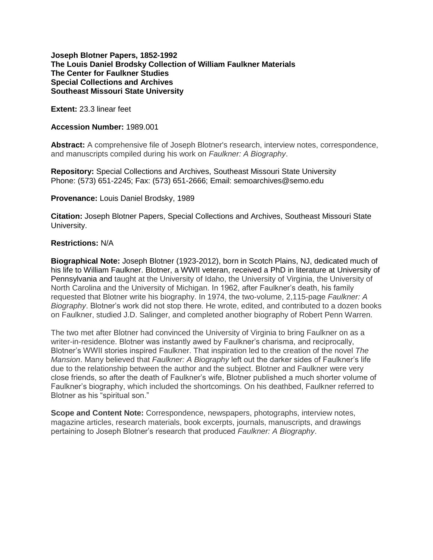# **Joseph Blotner Papers, 1852-1992 The Louis Daniel Brodsky Collection of William Faulkner Materials The Center for Faulkner Studies Special Collections and Archives Southeast Missouri State University**

**Extent:** 23.3 linear feet

## **Accession Number:** 1989.001

**Abstract:** A comprehensive file of Joseph Blotner's research, interview notes, correspondence, and manuscripts compiled during his work on *Faulkner: A Biography*.

**Repository:** Special Collections and Archives, Southeast Missouri State University Phone: (573) 651-2245; Fax: (573) 651-2666; Email: semoarchives@semo.edu

**Provenance:** Louis Daniel Brodsky, 1989

**Citation:** Joseph Blotner Papers, Special Collections and Archives, Southeast Missouri State University.

# **Restrictions:** N/A

**Biographical Note:** Joseph Blotner (1923-2012), born in Scotch Plains, NJ, dedicated much of his life to William Faulkner. Blotner, a WWII veteran, received a PhD in literature at University of Pennsylvania and taught at the University of Idaho, the University of Virginia, the University of North Carolina and the University of Michigan. In 1962, after Faulkner's death, his family requested that Blotner write his biography. In 1974, the two-volume, 2,115-page *Faulkner: A Biography*. Blotner's work did not stop there. He wrote, edited, and contributed to a dozen books on Faulkner, studied J.D. Salinger, and completed another biography of Robert Penn Warren.

The two met after Blotner had convinced the University of Virginia to bring Faulkner on as a writer-in-residence. Blotner was instantly awed by Faulkner's charisma, and reciprocally, Blotner's WWII stories inspired Faulkner. That inspiration led to the creation of the novel *The Mansion*. Many believed that *Faulkner: A Biography* left out the darker sides of Faulkner's life due to the relationship between the author and the subject. Blotner and Faulkner were very close friends, so after the death of Faulkner's wife, Blotner published a much shorter volume of Faulkner's biography, which included the shortcomings. On his deathbed, Faulkner referred to Blotner as his "spiritual son."

**Scope and Content Note:** Correspondence, newspapers, photographs, interview notes, magazine articles, research materials, book excerpts, journals, manuscripts, and drawings pertaining to Joseph Blotner's research that produced *Faulkner: A Biography*.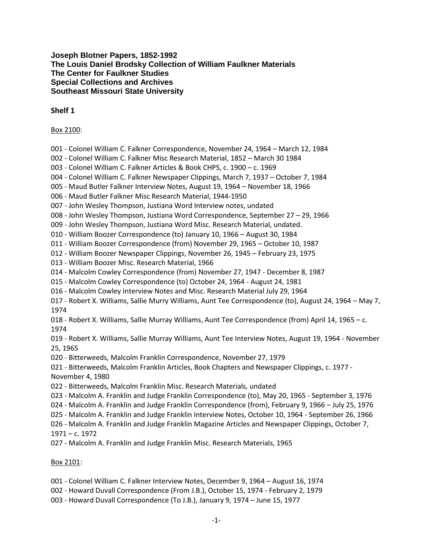# **Joseph Blotner Papers, 1852-1992 The Louis Daniel Brodsky Collection of William Faulkner Materials The Center for Faulkner Studies Special Collections and Archives Southeast Missouri State University**

# **Shelf 1**

# Box 2100:

- 001 Colonel William C. Falkner Correspondence, November 24, 1964 March 12, 1984
- 002 Colonel William C. Falkner Misc Research Material, 1852 March 30 1984
- 003 Colonel William C. Falkner Articles & Book CHPS, c. 1900 c. 1969
- 004 Colonel William C. Falkner Newspaper Clippings, March 7, 1937 October 7, 1984
- 005 Maud Butler Falkner Interview Notes, August 19, 1964 November 18, 1966
- 006 Maud Butler Falkner Misc Research Material, 1944-1950
- 007 John Wesley Thompson, Justiana Word Interview notes, undated
- 008 John Wesley Thompson, Justiana Word Correspondence, September 27 29, 1966
- 009 John Wesley Thompson, Justiana Word Misc. Research Material, undated.
- 010 William Boozer Correspondence (to) January 10, 1966 August 30, 1984
- 011 William Boozer Correspondence (from) November 29, 1965 October 10, 1987
- 012 William Boozer Newspaper Clippings, November 26, 1945 February 23, 1975
- 013 William Boozer Misc. Research Material, 1966
- 014 Malcolm Cowley Correspondence (from) November 27, 1947 December 8, 1987
- 015 Malcolm Cowley Correspondence (to) October 24, 1964 August 24, 1981
- 016 Malcolm Cowley Interview Notes and Misc. Research Material July 29, 1964
- 017 Robert X. Williams, Sallie Murry Williams, Aunt Tee Correspondence (to), August 24, 1964 May 7, 1974
- 018 Robert X. Williams, Sallie Murray Williams, Aunt Tee Correspondence (from) April 14, 1965 c. 1974

019 - Robert X. Williams, Sallie Murray Williams, Aunt Tee Interview Notes, August 19, 1964 - November 25, 1965

020 - Bitterweeds, Malcolm Franklin Correspondence, November 27, 1979

021 - Bitterweeds, Malcolm Franklin Articles, Book Chapters and Newspaper Clippings, c. 1977 - November 4, 1980

022 - Bitterweeds, Malcolm Franklin Misc. Research Materials, undated

- 023 Malcolm A. Franklin and Judge Franklin Correspondence (to), May 20, 1965 September 3, 1976
- 024 Malcolm A. Franklin and Judge Franklin Correspondence (from), February 9, 1966 July 25, 1976

025 - Malcolm A. Franklin and Judge Franklin Interview Notes, October 10, 1964 - September 26, 1966

026 - Malcolm A. Franklin and Judge Franklin Magazine Articles and Newspaper Clippings, October 7, 1971 – c. 1972

027 - Malcolm A. Franklin and Judge Franklin Misc. Research Materials, 1965

# Box 2101:

- 001 Colonel William C. Falkner Interview Notes, December 9, 1964 August 16, 1974
- 002 Howard Duvall Correspondence (From J.B.), October 15, 1974 February 2, 1979
- 003 Howard Duvall Correspondence (To J.B.), January 9, 1974 June 15, 1977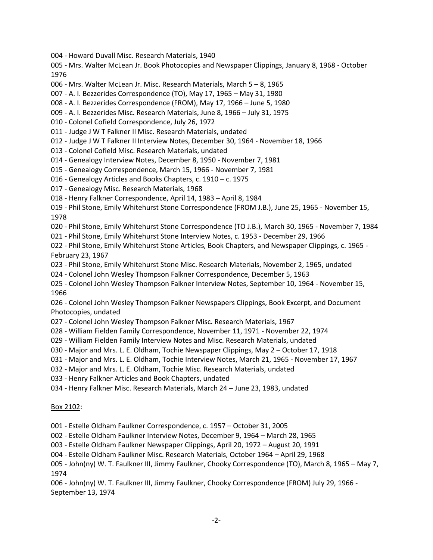004 - Howard Duvall Misc. Research Materials, 1940

005 - Mrs. Walter McLean Jr. Book Photocopies and Newspaper Clippings, January 8, 1968 - October 1976

- 006 Mrs. Walter McLean Jr. Misc. Research Materials, March 5 8, 1965
- 007 A. I. Bezzerides Correspondence (TO), May 17, 1965 May 31, 1980
- 008 A. I. Bezzerides Correspondence (FROM), May 17, 1966 June 5, 1980
- 009 A. I. Bezzerides Misc. Research Materials, June 8, 1966 July 31, 1975
- 010 Colonel Cofield Correspondence, July 26, 1972
- 011 Judge J W T Falkner II Misc. Research Materials, undated
- 012 Judge J W T Falkner II Interview Notes, December 30, 1964 November 18, 1966
- 013 Colonel Cofield Misc. Research Materials, undated
- 014 Genealogy Interview Notes, December 8, 1950 November 7, 1981
- 015 Genealogy Correspondence, March 15, 1966 November 7, 1981
- 016 Genealogy Articles and Books Chapters, c. 1910 c. 1975
- 017 Genealogy Misc. Research Materials, 1968
- 018 Henry Falkner Correspondence, April 14, 1983 April 8, 1984
- 019 Phil Stone, Emily Whitehurst Stone Correspondence (FROM J.B.), June 25, 1965 November 15, 1978
- 020 Phil Stone, Emily Whitehurst Stone Correspondence (TO J.B.), March 30, 1965 November 7, 1984
- 021 Phil Stone, Emily Whitehurst Stone Interview Notes, c. 1953 December 29, 1966

022 - Phil Stone, Emily Whitehurst Stone Articles, Book Chapters, and Newspaper Clippings, c. 1965 - February 23, 1967

- 023 Phil Stone, Emily Whitehurst Stone Misc. Research Materials, November 2, 1965, undated
- 024 Colonel John Wesley Thompson Falkner Correspondence, December 5, 1963
- 025 Colonel John Wesley Thompson Falkner Interview Notes, September 10, 1964 November 15, 1966

026 - Colonel John Wesley Thompson Falkner Newspapers Clippings, Book Excerpt, and Document Photocopies, undated

- 027 Colonel John Wesley Thompson Falkner Misc. Research Materials, 1967
- 028 William Fielden Family Correspondence, November 11, 1971 November 22, 1974
- 029 William Fielden Family Interview Notes and Misc. Research Materials, undated
- 030 Major and Mrs. L. E. Oldham, Tochie Newspaper Clippings, May 2 October 17, 1918
- 031 Major and Mrs. L. E. Oldham, Tochie Interview Notes, March 21, 1965 November 17, 1967
- 032 Major and Mrs. L. E. Oldham, Tochie Misc. Research Materials, undated
- 033 Henry Falkner Articles and Book Chapters, undated
- 034 Henry Falkner Misc. Research Materials, March 24 June 23, 1983, undated

#### Box 2102:

001 - Estelle Oldham Faulkner Correspondence, c. 1957 – October 31, 2005

002 - Estelle Oldham Faulkner Interview Notes, December 9, 1964 – March 28, 1965

003 - Estelle Oldham Faulkner Newspaper Clippings, April 20, 1972 – August 20, 1991

004 - Estelle Oldham Faulkner Misc. Research Materials, October 1964 – April 29, 1968

005 - John(ny) W. T. Faulkner III, Jimmy Faulkner, Chooky Correspondence (TO), March 8, 1965 – May 7, 1974

006 - John(ny) W. T. Faulkner III, Jimmy Faulkner, Chooky Correspondence (FROM) July 29, 1966 - September 13, 1974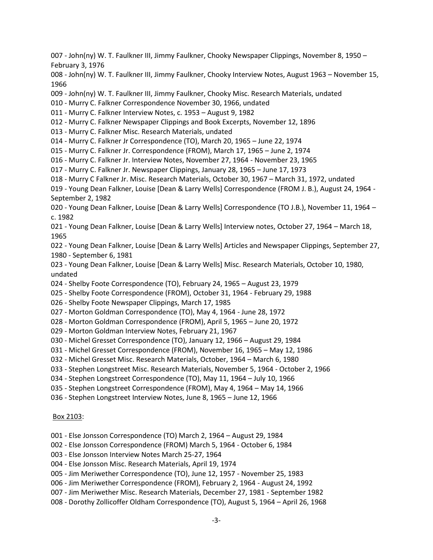007 - John(ny) W. T. Faulkner III, Jimmy Faulkner, Chooky Newspaper Clippings, November 8, 1950 – February 3, 1976

008 - John(ny) W. T. Faulkner III, Jimmy Faulkner, Chooky Interview Notes, August 1963 – November 15, 1966

009 - John(ny) W. T. Faulkner III, Jimmy Faulkner, Chooky Misc. Research Materials, undated

- 010 Murry C. Falkner Correspondence November 30, 1966, undated
- 011 Murry C. Falkner Interview Notes, c. 1953 August 9, 1982
- 012 Murry C. Falkner Newspaper Clippings and Book Excerpts, November 12, 1896
- 013 Murry C. Falkner Misc. Research Materials, undated
- 014 Murry C. Falkner Jr Correspondence (TO), March 20, 1965 June 22, 1974

015 - Murry C. Falkner Jr. Correspondence (FROM), March 17, 1965 – June 2, 1974

016 - Murry C. Falkner Jr. Interview Notes, November 27, 1964 - November 23, 1965

017 - Murry C. Falkner Jr. Newspaper Clippings, January 28, 1965 – June 17, 1973

018 - Murry C Falkner Jr. Misc. Research Materials, October 30, 1967 – March 31, 1972, undated

019 - Young Dean Falkner, Louise [Dean & Larry Wells] Correspondence (FROM J. B.), August 24, 1964 - September 2, 1982

020 - Young Dean Falkner, Louise [Dean & Larry Wells] Correspondence (TO J.B.), November 11, 1964 – c. 1982

021 - Young Dean Falkner, Louise [Dean & Larry Wells] Interview notes, October 27, 1964 – March 18, 1965

022 - Young Dean Falkner, Louise [Dean & Larry Wells] Articles and Newspaper Clippings, September 27, 1980 - September 6, 1981

023 - Young Dean Falkner, Louise [Dean & Larry Wells] Misc. Research Materials, October 10, 1980, undated

024 - Shelby Foote Correspondence (TO), February 24, 1965 – August 23, 1979

- 025 Shelby Foote Correspondence (FROM), October 31, 1964 February 29, 1988
- 026 Shelby Foote Newspaper Clippings, March 17, 1985
- 027 Morton Goldman Correspondence (TO), May 4, 1964 June 28, 1972
- 028 Morton Goldman Correspondence (FROM), April 5, 1965 June 20, 1972
- 029 Morton Goldman Interview Notes, February 21, 1967
- 030 Michel Gresset Correspondence (TO), January 12, 1966 August 29, 1984
- 031 Michel Gresset Correspondence (FROM), November 16, 1965 May 12, 1986
- 032 Michel Gresset Misc. Research Materials, October, 1964 March 6, 1980

033 - Stephen Longstreet Misc. Research Materials, November 5, 1964 - October 2, 1966

- 034 Stephen Longstreet Correspondence (TO), May 11, 1964 July 10, 1966
- 035 Stephen Longstreet Correspondence (FROM), May 4, 1964 May 14, 1966
- 036 Stephen Longstreet Interview Notes, June 8, 1965 June 12, 1966

## Box 2103:

- 001 Else Jonsson Correspondence (TO) March 2, 1964 August 29, 1984
- 002 Else Jonsson Correspondence (FROM) March 5, 1964 October 6, 1984
- 003 Else Jonsson Interview Notes March 25-27, 1964
- 004 Else Jonsson Misc. Research Materials, April 19, 1974
- 005 Jim Meriwether Correspondence (TO), June 12, 1957 November 25, 1983
- 006 Jim Meriwether Correspondence (FROM), February 2, 1964 August 24, 1992
- 007 Jim Meriwether Misc. Research Materials, December 27, 1981 September 1982
- 008 Dorothy Zollicoffer Oldham Correspondence (TO), August 5, 1964 April 26, 1968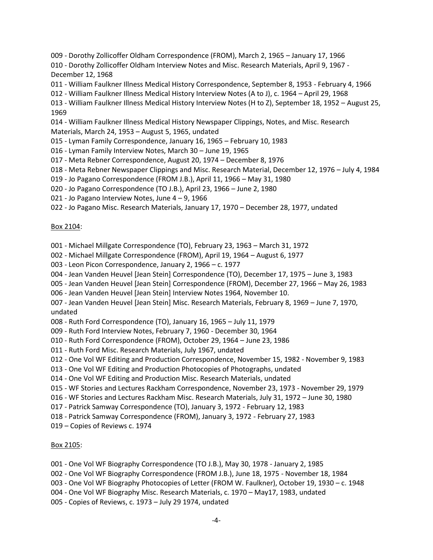009 - Dorothy Zollicoffer Oldham Correspondence (FROM), March 2, 1965 – January 17, 1966

010 - Dorothy Zollicoffer Oldham Interview Notes and Misc. Research Materials, April 9, 1967 - December 12, 1968

- 011 William Faulkner Illness Medical History Correspondence, September 8, 1953 February 4, 1966
- 012 William Faulkner Illness Medical History Interview Notes (A to J), c. 1964 April 29, 1968

013 - William Faulkner Illness Medical History Interview Notes (H to Z), September 18, 1952 – August 25, 1969

014 - William Faulkner Illness Medical History Newspaper Clippings, Notes, and Misc. Research Materials, March 24, 1953 – August 5, 1965, undated

- 015 Lyman Family Correspondence, January 16, 1965 February 10, 1983
- 016 Lyman Family Interview Notes, March 30 June 19, 1965
- 017 Meta Rebner Correspondence, August 20, 1974 December 8, 1976
- 018 Meta Rebner Newspaper Clippings and Misc. Research Material, December 12, 1976 July 4, 1984
- 019 Jo Pagano Correspondence (FROM J.B.), April 11, 1966 May 31, 1980
- 020 Jo Pagano Correspondence (TO J.B.), April 23, 1966 June 2, 1980
- 021 Jo Pagano Interview Notes, June 4 9, 1966
- 022 Jo Pagano Misc. Research Materials, January 17, 1970 December 28, 1977, undated

## Box 2104:

001 - Michael Millgate Correspondence (TO), February 23, 1963 – March 31, 1972

- 002 Michael Millgate Correspondence (FROM), April 19, 1964 August 6, 1977
- 003 Leon Picon Correspondence, January 2, 1966 c. 1977
- 004 Jean Vanden Heuvel [Jean Stein] Correspondence (TO), December 17, 1975 June 3, 1983
- 005 Jean Vanden Heuvel [Jean Stein] Correspondence (FROM), December 27, 1966 May 26, 1983
- 006 Jean Vanden Heuvel [Jean Stein] Interview Notes 1964, November 10.

007 - Jean Vanden Heuvel [Jean Stein] Misc. Research Materials, February 8, 1969 – June 7, 1970, undated

- 008 Ruth Ford Correspondence (TO), January 16, 1965 July 11, 1979
- 009 Ruth Ford Interview Notes, February 7, 1960 December 30, 1964
- 010 Ruth Ford Correspondence (FROM), October 29, 1964 June 23, 1986
- 011 Ruth Ford Misc. Research Materials, July 1967, undated
- 012 One Vol WF Editing and Production Correspondence, November 15, 1982 November 9, 1983
- 013 One Vol WF Editing and Production Photocopies of Photographs, undated
- 014 One Vol WF Editing and Production Misc. Research Materials, undated
- 015 WF Stories and Lectures Rackham Correspondence, November 23, 1973 November 29, 1979
- 016 WF Stories and Lectures Rackham Misc. Research Materials, July 31, 1972 June 30, 1980
- 017 Patrick Samway Correspondence (TO), January 3, 1972 February 12, 1983
- 018 Patrick Samway Correspondence (FROM), January 3, 1972 February 27, 1983
- 019 Copies of Reviews c. 1974

## Box 2105:

- 001 One Vol WF Biography Correspondence (TO J.B.), May 30, 1978 January 2, 1985
- 002 One Vol WF Biography Correspondence (FROM J.B.), June 18, 1975 November 18, 1984
- 003 One Vol WF Biography Photocopies of Letter (FROM W. Faulkner), October 19, 1930 c. 1948
- 004 One Vol WF Biography Misc. Research Materials, c. 1970 May17, 1983, undated
- 005 Copies of Reviews, c. 1973 July 29 1974, undated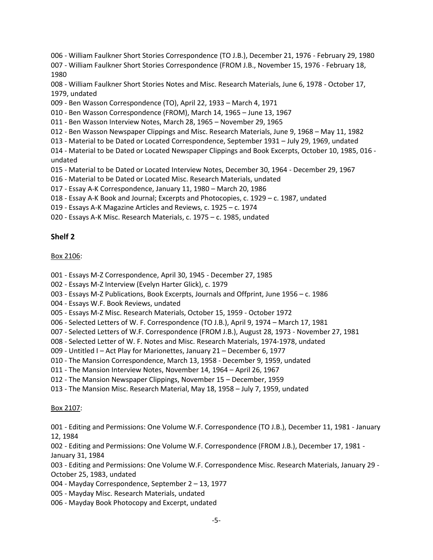006 - William Faulkner Short Stories Correspondence (TO J.B.), December 21, 1976 - February 29, 1980

007 - William Faulkner Short Stories Correspondence (FROM J.B., November 15, 1976 - February 18, 1980

008 - William Faulkner Short Stories Notes and Misc. Research Materials, June 6, 1978 - October 17, 1979, undated

009 - Ben Wasson Correspondence (TO), April 22, 1933 – March 4, 1971

010 - Ben Wasson Correspondence (FROM), March 14, 1965 – June 13, 1967

011 - Ben Wasson Interview Notes, March 28, 1965 – November 29, 1965

012 - Ben Wasson Newspaper Clippings and Misc. Research Materials, June 9, 1968 – May 11, 1982

013 - Material to be Dated or Located Correspondence, September 1931 – July 29, 1969, undated

014 - Material to be Dated or Located Newspaper Clippings and Book Excerpts, October 10, 1985, 016 undated

015 - Material to be Dated or Located Interview Notes, December 30, 1964 - December 29, 1967

- 016 Material to be Dated or Located Misc. Research Materials, undated
- 017 Essay A-K Correspondence, January 11, 1980 March 20, 1986
- 018 Essay A-K Book and Journal; Excerpts and Photocopies, c. 1929 c. 1987, undated
- 019 Essays A-K Magazine Articles and Reviews, c. 1925 c. 1974
- 020 Essays A-K Misc. Research Materials, c. 1975 c. 1985, undated

# **Shelf 2**

# Box 2106:

- 001 Essays M-Z Correspondence, April 30, 1945 December 27, 1985
- 002 Essays M-Z Interview (Evelyn Harter Glick), c. 1979
- 003 Essays M-Z Publications, Book Excerpts, Journals and Offprint, June 1956 c. 1986
- 004 Essays W.F. Book Reviews, undated
- 005 Essays M-Z Misc. Research Materials, October 15, 1959 October 1972
- 006 Selected Letters of W. F. Correspondence (TO J.B.), April 9, 1974 March 17, 1981
- 007 Selected Letters of W.F. Correspondence (FROM J.B.), August 28, 1973 November 27, 1981
- 008 Selected Letter of W. F. Notes and Misc. Research Materials, 1974-1978, undated
- 009 Untitled I Act Play for Marionettes, January 21 December 6, 1977
- 010 The Mansion Correspondence, March 13, 1958 December 9, 1959, undated
- 011 The Mansion Interview Notes, November 14, 1964 April 26, 1967
- 012 The Mansion Newspaper Clippings, November 15 December, 1959
- 013 The Mansion Misc. Research Material, May 18, 1958 July 7, 1959, undated

# Box 2107:

001 - Editing and Permissions: One Volume W.F. Correspondence (TO J.B.), December 11, 1981 - January 12, 1984

002 - Editing and Permissions: One Volume W.F. Correspondence (FROM J.B.), December 17, 1981 - January 31, 1984

003 - Editing and Permissions: One Volume W.F. Correspondence Misc. Research Materials, January 29 - October 25, 1983, undated

- 004 Mayday Correspondence, September 2 13, 1977
- 005 Mayday Misc. Research Materials, undated
- 006 Mayday Book Photocopy and Excerpt, undated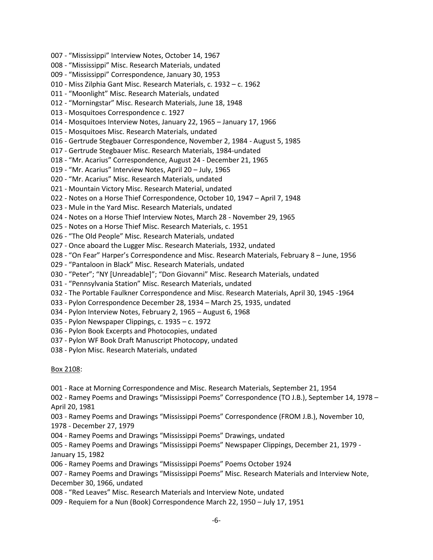- 007 "Mississippi" Interview Notes, October 14, 1967
- 008 "Mississippi" Misc. Research Materials, undated
- 009 "Mississippi" Correspondence, January 30, 1953
- 010 Miss Zilphia Gant Misc. Research Materials, c. 1932 c. 1962
- 011 "Moonlight" Misc. Research Materials, undated
- 012 "Morningstar" Misc. Research Materials, June 18, 1948
- 013 Mosquitoes Correspondence c. 1927
- 014 Mosquitoes Interview Notes, January 22, 1965 January 17, 1966
- 015 Mosquitoes Misc. Research Materials, undated
- 016 Gertrude Stegbauer Correspondence, November 2, 1984 August 5, 1985
- 017 Gertrude Stegbauer Misc. Research Materials, 1984-undated
- 018 "Mr. Acarius" Correspondence, August 24 December 21, 1965
- 019 "Mr. Acarius" Interview Notes, April 20 July, 1965
- 020 "Mr. Acarius" Misc. Research Materials, undated
- 021 Mountain Victory Misc. Research Material, undated
- 022 Notes on a Horse Thief Correspondence, October 10, 1947 April 7, 1948
- 023 Mule in the Yard Misc. Research Materials, undated
- 024 Notes on a Horse Thief Interview Notes, March 28 November 29, 1965
- 025 Notes on a Horse Thief Misc. Research Materials, c. 1951
- 026 "The Old People" Misc. Research Materials, undated
- 027 Once aboard the Lugger Misc. Research Materials, 1932, undated
- 028 "On Fear" Harper's Correspondence and Misc. Research Materials, February 8 June, 1956
- 029 "Pantaloon in Black" Misc. Research Materials, undated
- 030 "Peter"; "NY [Unreadable]"; "Don Giovanni" Misc. Research Materials, undated
- 031 "Pennsylvania Station" Misc. Research Materials, undated
- 032 The Portable Faulkner Correspondence and Misc. Research Materials, April 30, 1945 -1964
- 033 Pylon Correspondence December 28, 1934 March 25, 1935, undated
- 034 Pylon Interview Notes, February 2, 1965 August 6, 1968
- 035 Pylon Newspaper Clippings, c. 1935 c. 1972
- 036 Pylon Book Excerpts and Photocopies, undated
- 037 Pylon WF Book Draft Manuscript Photocopy, undated
- 038 Pylon Misc. Research Materials, undated

# Box 2108:

- 001 Race at Morning Correspondence and Misc. Research Materials, September 21, 1954
- 002 Ramey Poems and Drawings "Mississippi Poems" Correspondence (TO J.B.), September 14, 1978 April 20, 1981
- 003 Ramey Poems and Drawings "Mississippi Poems" Correspondence (FROM J.B.), November 10, 1978 - December 27, 1979
- 004 Ramey Poems and Drawings "Mississippi Poems" Drawings, undated
- 005 Ramey Poems and Drawings "Mississippi Poems" Newspaper Clippings, December 21, 1979 January 15, 1982
- 006 Ramey Poems and Drawings "Mississippi Poems" Poems October 1924

007 - Ramey Poems and Drawings "Mississippi Poems" Misc. Research Materials and Interview Note, December 30, 1966, undated

- 008 "Red Leaves" Misc. Research Materials and Interview Note, undated
- 009 Requiem for a Nun (Book) Correspondence March 22, 1950 July 17, 1951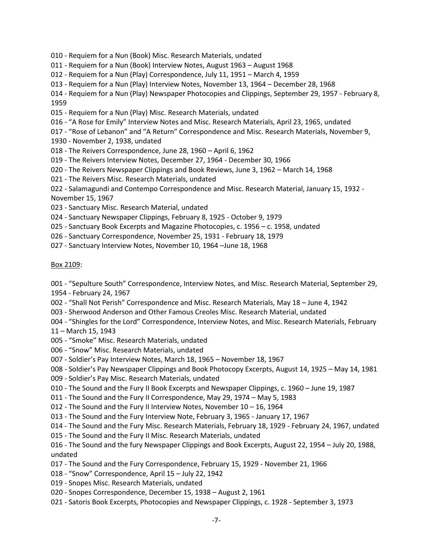- 010 Requiem for a Nun (Book) Misc. Research Materials, undated
- 011 Requiem for a Nun (Book) Interview Notes, August 1963 August 1968
- 012 Requiem for a Nun (Play) Correspondence, July 11, 1951 March 4, 1959
- 013 Requiem for a Nun (Play) Interview Notes, November 13, 1964 December 28, 1968

014 - Requiem for a Nun (Play) Newspaper Photocopies and Clippings, September 29, 1957 - February 8, 1959

- 015 Requiem for a Nun (Play) Misc. Research Materials, undated
- 016 "A Rose for Emily" Interview Notes and Misc. Research Materials, April 23, 1965, undated
- 017 "Rose of Lebanon" and "A Return" Correspondence and Misc. Research Materials, November 9,
- 1930 November 2, 1938, undated
- 018 The Reivers Correspondence, June 28, 1960 April 6, 1962
- 019 The Reivers Interview Notes, December 27, 1964 December 30, 1966
- 020 The Reivers Newspaper Clippings and Book Reviews, June 3, 1962 March 14, 1968
- 021 The Reivers Misc. Research Materials, undated

022 - Salamagundi and Contempo Correspondence and Misc. Research Material, January 15, 1932 - November 15, 1967

- 023 Sanctuary Misc. Research Material, undated
- 024 Sanctuary Newspaper Clippings, February 8, 1925 October 9, 1979
- 025 Sanctuary Book Excerpts and Magazine Photocopies, c. 1956 c. 1958, undated
- 026 Sanctuary Correspondence, November 25, 1931 February 18, 1979
- 027 Sanctuary Interview Notes, November 10, 1964 –June 18, 1968

#### Box 2109:

001 - "Sepulture South" Correspondence, Interview Notes, and Misc. Research Material, September 29, 1954 - February 24, 1967

- 002 "Shall Not Perish" Correspondence and Misc. Research Materials, May 18 June 4, 1942
- 003 Sherwood Anderson and Other Famous Creoles Misc. Research Material, undated
- 004 "Shingles for the Lord" Correspondence, Interview Notes, and Misc. Research Materials, February

11 – March 15, 1943

- 005 "Smoke" Misc. Research Materials, undated
- 006 "Snow" Misc. Research Materials, undated
- 007 Soldier's Pay Interview Notes, March 18, 1965 November 18, 1967
- 008 Soldier's Pay Newspaper Clippings and Book Photocopy Excerpts, August 14, 1925 May 14, 1981
- 009 Soldier's Pay Misc. Research Materials, undated
- 010 The Sound and the Fury II Book Excerpts and Newspaper Clippings, c. 1960 June 19, 1987
- 011 The Sound and the Fury II Correspondence, May 29, 1974 May 5, 1983
- 012 The Sound and the Fury II Interview Notes, November 10 16, 1964
- 013 The Sound and the Fury Interview Note, February 3, 1965 January 17, 1967
- 014 The Sound and the Fury Misc. Research Materials, February 18, 1929 February 24, 1967, undated
- 015 The Sound and the Fury II Misc. Research Materials, undated
- 016 The Sound and the fury Newspaper Clippings and Book Excerpts, August 22, 1954 July 20, 1988, undated
- 017 The Sound and the Fury Correspondence, February 15, 1929 November 21, 1966
- 018 "Snow" Correspondence, April 15 July 22, 1942
- 019 Snopes Misc. Research Materials, undated
- 020 Snopes Correspondence, December 15, 1938 August 2, 1961
- 021 Satoris Book Excerpts, Photocopies and Newspaper Clippings, c. 1928 September 3, 1973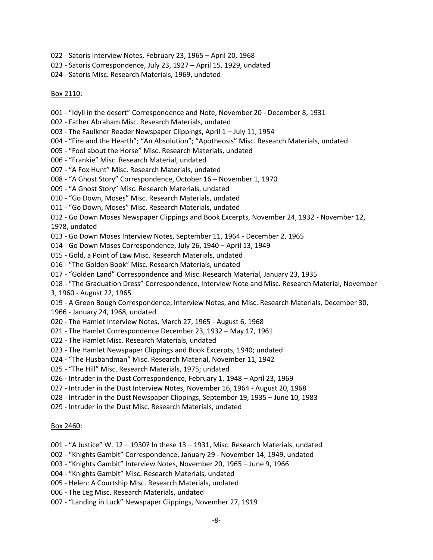- 022 Satoris Interview Notes, February 23, 1965 April 20, 1968
- 023 Satoris Correspondence, July 23, 1927 April 15, 1929, undated
- 024 Satoris Misc. Research Materials, 1969, undated

### Box 2110:

- 001 "Idyll in the desert" Correspondence and Note, November 20 December 8, 1931
- 002 Father Abraham Misc. Research Materials, undated
- 003 The Faulkner Reader Newspaper Clippings, April 1 July 11, 1954
- 004 "Fire and the Hearth"; "An Absolution"; "Apotheosis" Misc. Research Materials, undated
- 005 "Fool about the Horse" Misc. Research Materials, undated
- 006 "Frankie" Misc. Research Material, undated
- 007 "A Fox Hunt" Misc. Research Materials, undated
- 008 "A Ghost Story" Correspondence, October 16 November 1, 1970
- 009 "A Ghost Story" Misc. Research Materials, undated
- 010 "Go Down, Moses" Misc. Research Materials, undated
- 011 "Go Down, Moses" Misc. Research Materials, undated
- 012 Go Down Moses Newspaper Clippings and Book Excerpts, November 24, 1932 November 12, 1978, undated
- 013 Go Down Moses Interview Notes, September 11, 1964 December 2, 1965
- 014 Go Down Moses Correspondence, July 26, 1940 April 13, 1949
- 015 Gold, a Point of Law Misc. Research Materials, undated
- 016 "The Golden Book" Misc. Research Materials, undated
- 017 "Golden Land" Correspondence and Misc. Research Material, January 23, 1935
- 018 "The Graduation Dress" Correspondence, Interview Note and Misc. Research Material, November 3, 1960 - August 22, 1965
- 019 A Green Bough Correspondence, Interview Notes, and Misc. Research Materials, December 30,
- 1966 January 24, 1968, undated
- 020 The Hamlet Interview Notes, March 27, 1965 August 6, 1968
- 021 The Hamlet Correspondence December 23, 1932 May 17, 1961
- 022 The Hamlet Misc. Research Materials, undated
- 023 The Hamlet Newspaper Clippings and Book Excerpts, 1940; undated
- 024 "The Husbandman" Misc. Research Material, November 11, 1942
- 025 "The Hill" Misc. Research Materials, 1975; undated
- 026 Intruder in the Dust Correspondence, February 1, 1948 April 23, 1969
- 027 Intruder in the Dust Interview Notes, November 16, 1964 August 20, 1968
- 028 Intruder in the Dust Newspaper Clippings, September 19, 1935 June 10, 1983
- 029 Intruder in the Dust Misc. Research Materials, undated

#### Box 2460:

- 001 "A Justice" W. 12 1930? In these 13 1931, Misc. Research Materials, undated
- 002 "Knights Gambit" Correspondence, January 29 November 14, 1949, undated
- 003 "Knights Gambit" Interview Notes, November 20, 1965 June 9, 1966
- 004 "Knights Gambit" Misc. Research Materials, undated
- 005 Helen: A Courtship Misc. Research Materials, undated
- 006 The Leg Misc. Research Materials, undated
- 007 "Landing in Luck" Newspaper Clippings, November 27, 1919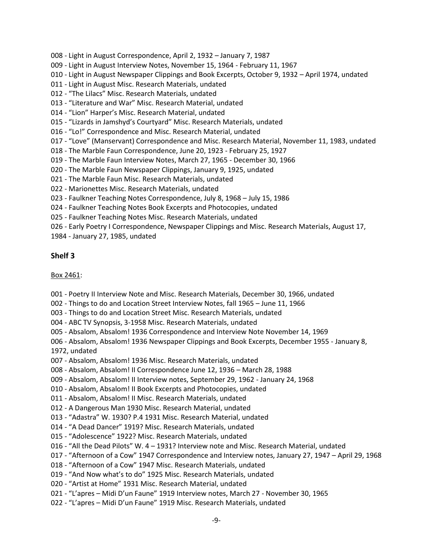008 - Light in August Correspondence, April 2, 1932 – January 7, 1987

009 - Light in August Interview Notes, November 15, 1964 - February 11, 1967

010 - Light in August Newspaper Clippings and Book Excerpts, October 9, 1932 – April 1974, undated

011 - Light in August Misc. Research Materials, undated

012 - "The Lilacs" Misc. Research Materials, undated

013 - "Literature and War" Misc. Research Material, undated

014 - "Lion" Harper's Misc. Research Material, undated

015 - "Lizards in Jamshyd's Courtyard" Misc. Research Materials, undated

016 - "Lo!" Correspondence and Misc. Research Material, undated

017 - "Love" (Manservant) Correspondence and Misc. Research Material, November 11, 1983, undated

018 - The Marble Faun Correspondence, June 20, 1923 - February 25, 1927

019 - The Marble Faun Interview Notes, March 27, 1965 - December 30, 1966

020 - The Marble Faun Newspaper Clippings, January 9, 1925, undated

021 - The Marble Faun Misc. Research Materials, undated

022 - Marionettes Misc. Research Materials, undated

023 - Faulkner Teaching Notes Correspondence, July 8, 1968 – July 15, 1986

024 - Faulkner Teaching Notes Book Excerpts and Photocopies, undated

025 - Faulkner Teaching Notes Misc. Research Materials, undated

026 - Early Poetry I Correspondence, Newspaper Clippings and Misc. Research Materials, August 17,

1984 - January 27, 1985, undated

# **Shelf 3**

## Box 2461:

001 - Poetry II Interview Note and Misc. Research Materials, December 30, 1966, undated

002 - Things to do and Location Street Interview Notes, fall 1965 – June 11, 1966

003 - Things to do and Location Street Misc. Research Materials, undated

004 - ABC TV Synopsis, 3-1958 Misc. Research Materials, undated

005 - Absalom, Absalom! 1936 Correspondence and Interview Note November 14, 1969

006 - Absalom, Absalom! 1936 Newspaper Clippings and Book Excerpts, December 1955 - January 8, 1972, undated

007 - Absalom, Absalom! 1936 Misc. Research Materials, undated

008 - Absalom, Absalom! II Correspondence June 12, 1936 – March 28, 1988

009 - Absalom, Absalom! II Interview notes, September 29, 1962 - January 24, 1968

010 - Absalom, Absalom! II Book Excerpts and Photocopies, undated

011 - Absalom, Absalom! II Misc. Research Materials, undated

012 - A Dangerous Man 1930 Misc. Research Material, undated

013 - "Adastra" W. 1930? P.4 1931 Misc. Research Material, undated

014 - "A Dead Dancer" 1919? Misc. Research Materials, undated

015 - "Adolescence" 1922? Misc. Research Materials, undated

016 - "All the Dead Pilots" W. 4 – 1931? Interview note and Misc. Research Material, undated

017 - "Afternoon of a Cow" 1947 Correspondence and Interview notes, January 27, 1947 – April 29, 1968

018 - "Afternoon of a Cow" 1947 Misc. Research Materials, undated

019 - "And Now what's to do" 1925 Misc. Research Materials, undated

020 - "Artist at Home" 1931 Misc. Research Material, undated

021 - "L'apres – Midi D'un Faune" 1919 Interview notes, March 27 - November 30, 1965

022 - "L'apres – Midi D'un Faune" 1919 Misc. Research Materials, undated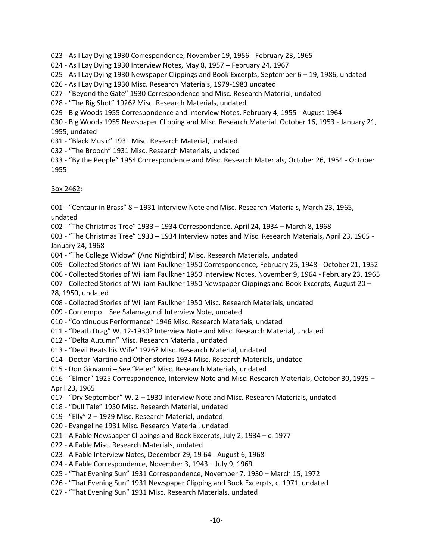023 - As I Lay Dying 1930 Correspondence, November 19, 1956 - February 23, 1965

024 - As I Lay Dying 1930 Interview Notes, May 8, 1957 – February 24, 1967

025 - As I Lay Dying 1930 Newspaper Clippings and Book Excerpts, September 6 – 19, 1986, undated

- 026 As I Lay Dying 1930 Misc. Research Materials, 1979-1983 undated
- 027 "Beyond the Gate" 1930 Correspondence and Misc. Research Material, undated
- 028 "The Big Shot" 1926? Misc. Research Materials, undated
- 029 Big Woods 1955 Correspondence and Interview Notes, February 4, 1955 August 1964

030 - Big Woods 1955 Newspaper Clipping and Misc. Research Material, October 16, 1953 - January 21, 1955, undated

- 031 "Black Music" 1931 Misc. Research Material, undated
- 032 "The Brooch" 1931 Misc. Research Materials, undated
- 033 "By the People" 1954 Correspondence and Misc. Research Materials, October 26, 1954 October 1955

Box 2462:

001 - "Centaur in Brass" 8 – 1931 Interview Note and Misc. Research Materials, March 23, 1965, undated

002 - "The Christmas Tree" 1933 – 1934 Correspondence, April 24, 1934 – March 8, 1968

003 - "The Christmas Tree" 1933 – 1934 Interview notes and Misc. Research Materials, April 23, 1965 - January 24, 1968

- 004 "The College Widow" (And Nightbird) Misc. Research Materials, undated
- 005 Collected Stories of William Faulkner 1950 Correspondence, February 25, 1948 October 21, 1952
- 006 Collected Stories of William Faulkner 1950 Interview Notes, November 9, 1964 February 23, 1965
- 007 Collected Stories of William Faulkner 1950 Newspaper Clippings and Book Excerpts, August 20 28, 1950, undated
- 008 Collected Stories of William Faulkner 1950 Misc. Research Materials, undated
- 009 Contempo See Salamagundi Interview Note, undated
- 010 "Continuous Performance" 1946 Misc. Research Materials, undated
- 011 "Death Drag" W. 12-1930? Interview Note and Misc. Research Material, undated
- 012 "Delta Autumn" Misc. Research Material, undated
- 013 "Devil Beats his Wife" 1926? Misc. Research Material, undated
- 014 Doctor Martino and Other stories 1934 Misc. Research Materials, undated
- 015 Don Giovanni See "Peter" Misc. Research Materials, undated

016 - "Elmer" 1925 Correspondence, Interview Note and Misc. Research Materials, October 30, 1935 – April 23, 1965

- 017 "Dry September" W. 2 1930 Interview Note and Misc. Research Materials, undated
- 018 "Dull Tale" 1930 Misc. Research Material, undated
- 019 "Elly" 2 1929 Misc. Research Material, undated
- 020 Evangeline 1931 Misc. Research Material, undated
- 021 A Fable Newspaper Clippings and Book Excerpts, July 2, 1934 c. 1977
- 022 A Fable Misc. Research Materials, undated
- 023 A Fable Interview Notes, December 29, 19 64 August 6, 1968
- 024 A Fable Correspondence, November 3, 1943 July 9, 1969
- 025 "That Evening Sun" 1931 Correspondence, November 7, 1930 March 15, 1972
- 026 "That Evening Sun" 1931 Newspaper Clipping and Book Excerpts, c. 1971, undated
- 027 "That Evening Sun" 1931 Misc. Research Materials, undated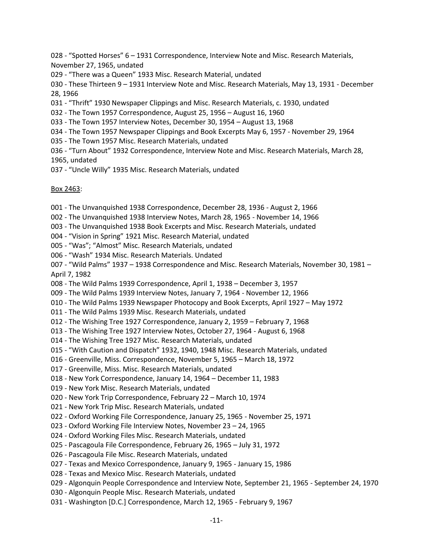028 - "Spotted Horses" 6 – 1931 Correspondence, Interview Note and Misc. Research Materials, November 27, 1965, undated

029 - "There was a Queen" 1933 Misc. Research Material, undated

030 - These Thirteen 9 – 1931 Interview Note and Misc. Research Materials, May 13, 1931 - December 28, 1966

- 031 "Thrift" 1930 Newspaper Clippings and Misc. Research Materials, c. 1930, undated
- 032 The Town 1957 Correspondence, August 25, 1956 August 16, 1960
- 033 The Town 1957 Interview Notes, December 30, 1954 August 13, 1968
- 034 The Town 1957 Newspaper Clippings and Book Excerpts May 6, 1957 November 29, 1964
- 035 The Town 1957 Misc. Research Materials, undated
- 036 "Turn About" 1932 Correspondence, Interview Note and Misc. Research Materials, March 28, 1965, undated
- 037 "Uncle Willy" 1935 Misc. Research Materials, undated

Box 2463:

- 001 The Unvanquished 1938 Correspondence, December 28, 1936 August 2, 1966
- 002 The Unvanquished 1938 Interview Notes, March 28, 1965 November 14, 1966
- 003 The Unvanquished 1938 Book Excerpts and Misc. Research Materials, undated
- 004 "Vision in Spring" 1921 Misc. Research Material, undated
- 005 "Was"; "Almost" Misc. Research Materials, undated
- 006 "Wash" 1934 Misc. Research Materials. Undated
- 007 "Wild Palms" 1937 1938 Correspondence and Misc. Research Materials, November 30, 1981 –
- April 7, 1982
- 008 The Wild Palms 1939 Correspondence, April 1, 1938 December 3, 1957
- 009 The Wild Palms 1939 Interview Notes, January 7, 1964 November 12, 1966
- 010 The Wild Palms 1939 Newspaper Photocopy and Book Excerpts, April 1927 May 1972
- 011 The Wild Palms 1939 Misc. Research Materials, undated
- 012 The Wishing Tree 1927 Correspondence, January 2, 1959 February 7, 1968
- 013 The Wishing Tree 1927 Interview Notes, October 27, 1964 August 6, 1968
- 014 The Wishing Tree 1927 Misc. Research Materials, undated
- 015 "With Caution and Dispatch" 1932, 1940, 1948 Misc. Research Materials, undated
- 016 Greenville, Miss. Correspondence, November 5, 1965 March 18, 1972
- 017 Greenville, Miss. Misc. Research Materials, undated
- 018 New York Correspondence, January 14, 1964 December 11, 1983
- 019 New York Misc. Research Materials, undated
- 020 New York Trip Correspondence, February 22 March 10, 1974
- 021 New York Trip Misc. Research Materials, undated
- 022 Oxford Working File Correspondence, January 25, 1965 November 25, 1971
- 023 Oxford Working File Interview Notes, November 23 24, 1965
- 024 Oxford Working Files Misc. Research Materials, undated
- 025 Pascagoula File Correspondence, February 26, 1965 July 31, 1972
- 026 Pascagoula File Misc. Research Materials, undated
- 027 Texas and Mexico Correspondence, January 9, 1965 January 15, 1986
- 028 Texas and Mexico Misc. Research Materials, undated
- 029 Algonquin People Correspondence and Interview Note, September 21, 1965 September 24, 1970
- 030 Algonquin People Misc. Research Materials, undated
- 031 Washington [D.C.] Correspondence, March 12, 1965 February 9, 1967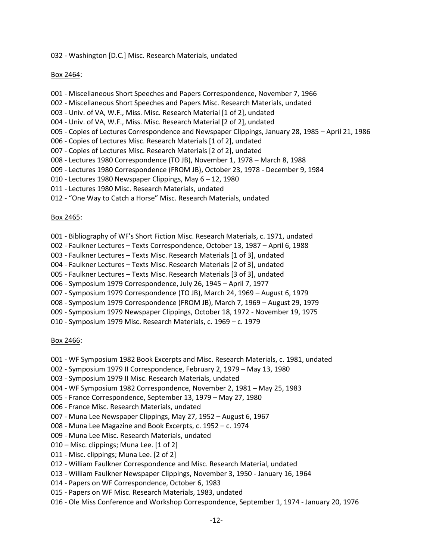032 - Washington [D.C.] Misc. Research Materials, undated

#### Box 2464:

- 001 Miscellaneous Short Speeches and Papers Correspondence, November 7, 1966
- 002 Miscellaneous Short Speeches and Papers Misc. Research Materials, undated
- 003 Univ. of VA, W.F., Miss. Misc. Research Material [1 of 2], undated
- 004 Univ. of VA, W.F., Miss. Misc. Research Material [2 of 2], undated
- 005 Copies of Lectures Correspondence and Newspaper Clippings, January 28, 1985 April 21, 1986
- 006 Copies of Lectures Misc. Research Materials [1 of 2], undated
- 007 Copies of Lectures Misc. Research Materials [2 of 2], undated
- 008 Lectures 1980 Correspondence (TO JB), November 1, 1978 March 8, 1988
- 009 Lectures 1980 Correspondence (FROM JB), October 23, 1978 December 9, 1984
- 010 Lectures 1980 Newspaper Clippings, May 6 12, 1980
- 011 Lectures 1980 Misc. Research Materials, undated
- 012 "One Way to Catch a Horse" Misc. Research Materials, undated

#### Box 2465:

- 001 Bibliography of WF's Short Fiction Misc. Research Materials, c. 1971, undated
- 002 Faulkner Lectures Texts Correspondence, October 13, 1987 April 6, 1988
- 003 Faulkner Lectures Texts Misc. Research Materials [1 of 3], undated
- 004 Faulkner Lectures Texts Misc. Research Materials [2 of 3], undated
- 005 Faulkner Lectures Texts Misc. Research Materials [3 of 3], undated
- 006 Symposium 1979 Correspondence, July 26, 1945 April 7, 1977
- 007 Symposium 1979 Correspondence (TO JB), March 24, 1969 August 6, 1979
- 008 Symposium 1979 Correspondence (FROM JB), March 7, 1969 August 29, 1979
- 009 Symposium 1979 Newspaper Clippings, October 18, 1972 November 19, 1975
- 010 Symposium 1979 Misc. Research Materials, c. 1969 c. 1979

## Box 2466:

- 001 WF Symposium 1982 Book Excerpts and Misc. Research Materials, c. 1981, undated
- 002 Symposium 1979 II Correspondence, February 2, 1979 May 13, 1980
- 003 Symposium 1979 II Misc. Research Materials, undated
- 004 WF Symposium 1982 Correspondence, November 2, 1981 May 25, 1983
- 005 France Correspondence, September 13, 1979 May 27, 1980
- 006 France Misc. Research Materials, undated
- 007 Muna Lee Newspaper Clippings, May 27, 1952 August 6, 1967
- 008 Muna Lee Magazine and Book Excerpts, c. 1952 c. 1974
- 009 Muna Lee Misc. Research Materials, undated
- 010 Misc. clippings; Muna Lee. [1 of 2]
- 011 Misc. clippings; Muna Lee. [2 of 2]
- 012 William Faulkner Correspondence and Misc. Research Material, undated
- 013 William Faulkner Newspaper Clippings, November 3, 1950 January 16, 1964
- 014 Papers on WF Correspondence, October 6, 1983
- 015 Papers on WF Misc. Research Materials, 1983, undated
- 016 Ole Miss Conference and Workshop Correspondence, September 1, 1974 January 20, 1976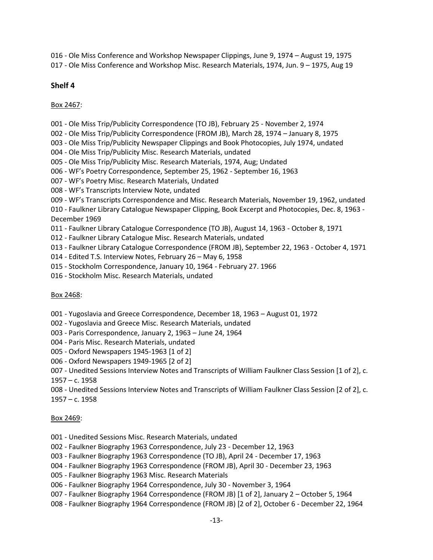016 - Ole Miss Conference and Workshop Newspaper Clippings, June 9, 1974 – August 19, 1975 017 - Ole Miss Conference and Workshop Misc. Research Materials, 1974, Jun. 9 – 1975, Aug 19

# **Shelf 4**

# Box 2467:

- 001 Ole Miss Trip/Publicity Correspondence (TO JB), February 25 November 2, 1974
- 002 Ole Miss Trip/Publicity Correspondence (FROM JB), March 28, 1974 January 8, 1975
- 003 Ole Miss Trip/Publicity Newspaper Clippings and Book Photocopies, July 1974, undated
- 004 Ole Miss Trip/Publicity Misc. Research Materials, undated
- 005 Ole Miss Trip/Publicity Misc. Research Materials, 1974, Aug; Undated
- 006 WF's Poetry Correspondence, September 25, 1962 September 16, 1963
- 007 WF's Poetry Misc. Research Materials, Undated
- 008 WF's Transcripts Interview Note, undated
- 009 WF's Transcripts Correspondence and Misc. Research Materials, November 19, 1962, undated
- 010 Faulkner Library Catalogue Newspaper Clipping, Book Excerpt and Photocopies, Dec. 8, 1963 December 1969
- 011 Faulkner Library Catalogue Correspondence (TO JB), August 14, 1963 October 8, 1971
- 012 Faulkner Library Catalogue Misc. Research Materials, undated
- 013 Faulkner Library Catalogue Correspondence (FROM JB), September 22, 1963 October 4, 1971
- 014 Edited T.S. Interview Notes, February 26 May 6, 1958
- 015 Stockholm Correspondence, January 10, 1964 February 27. 1966
- 016 Stockholm Misc. Research Materials, undated

## Box 2468:

- 001 Yugoslavia and Greece Correspondence, December 18, 1963 August 01, 1972
- 002 Yugoslavia and Greece Misc. Research Materials, undated
- 003 Paris Correspondence, January 2, 1963 June 24, 1964
- 004 Paris Misc. Research Materials, undated
- 005 Oxford Newspapers 1945-1963 [1 of 2]
- 006 Oxford Newspapers 1949-1965 [2 of 2]
- 007 Unedited Sessions Interview Notes and Transcripts of William Faulkner Class Session [1 of 2], c. 1957 – c. 1958
- 008 Unedited Sessions Interview Notes and Transcripts of William Faulkner Class Session [2 of 2], c.
- 1957 c. 1958

## Box 2469:

- 001 Unedited Sessions Misc. Research Materials, undated
- 002 Faulkner Biography 1963 Correspondence, July 23 December 12, 1963
- 003 Faulkner Biography 1963 Correspondence (TO JB), April 24 December 17, 1963
- 004 Faulkner Biography 1963 Correspondence (FROM JB), April 30 December 23, 1963
- 005 Faulkner Biography 1963 Misc. Research Materials
- 006 Faulkner Biography 1964 Correspondence, July 30 November 3, 1964
- 007 Faulkner Biography 1964 Correspondence (FROM JB) [1 of 2], January 2 October 5, 1964
- 008 Faulkner Biography 1964 Correspondence (FROM JB) [2 of 2], October 6 December 22, 1964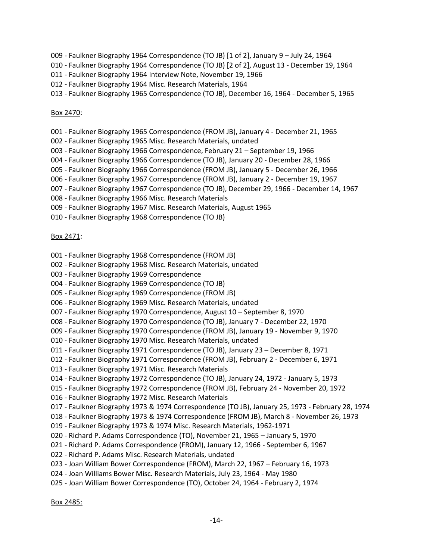- 009 Faulkner Biography 1964 Correspondence (TO JB) [1 of 2], January 9 July 24, 1964
- 010 Faulkner Biography 1964 Correspondence (TO JB) [2 of 2], August 13 December 19, 1964
- 011 Faulkner Biography 1964 Interview Note, November 19, 1966
- 012 Faulkner Biography 1964 Misc. Research Materials, 1964
- 013 Faulkner Biography 1965 Correspondence (TO JB), December 16, 1964 December 5, 1965

## Box 2470:

- 001 Faulkner Biography 1965 Correspondence (FROM JB), January 4 December 21, 1965
- 002 Faulkner Biography 1965 Misc. Research Materials, undated
- 003 Faulkner Biography 1966 Correspondence, February 21 September 19, 1966
- 004 Faulkner Biography 1966 Correspondence (TO JB), January 20 December 28, 1966
- 005 Faulkner Biography 1966 Correspondence (FROM JB), January 5 December 26, 1966
- 006 Faulkner Biography 1967 Correspondence (FROM JB), January 2 December 19, 1967
- 007 Faulkner Biography 1967 Correspondence (TO JB), December 29, 1966 December 14, 1967
- 008 Faulkner Biography 1966 Misc. Research Materials
- 009 Faulkner Biography 1967 Misc. Research Materials, August 1965
- 010 Faulkner Biography 1968 Correspondence (TO JB)

# Box 2471:

- 001 Faulkner Biography 1968 Correspondence (FROM JB)
- 002 Faulkner Biography 1968 Misc. Research Materials, undated
- 003 Faulkner Biography 1969 Correspondence
- 004 Faulkner Biography 1969 Correspondence (TO JB)
- 005 Faulkner Biography 1969 Correspondence (FROM JB)
- 006 Faulkner Biography 1969 Misc. Research Materials, undated
- 007 Faulkner Biography 1970 Correspondence, August 10 September 8, 1970
- 008 Faulkner Biography 1970 Correspondence (TO JB), January 7 December 22, 1970
- 009 Faulkner Biography 1970 Correspondence (FROM JB), January 19 November 9, 1970
- 010 Faulkner Biography 1970 Misc. Research Materials, undated
- 011 Faulkner Biography 1971 Correspondence (TO JB), January 23 December 8, 1971
- 012 Faulkner Biography 1971 Correspondence (FROM JB), February 2 December 6, 1971
- 013 Faulkner Biography 1971 Misc. Research Materials
- 014 Faulkner Biography 1972 Correspondence (TO JB), January 24, 1972 January 5, 1973
- 015 Faulkner Biography 1972 Correspondence (FROM JB), February 24 November 20, 1972
- 016 Faulkner Biography 1972 Misc. Research Materials
- 017 Faulkner Biography 1973 & 1974 Correspondence (TO JB), January 25, 1973 February 28, 1974
- 018 Faulkner Biography 1973 & 1974 Correspondence (FROM JB), March 8 November 26, 1973
- 019 Faulkner Biography 1973 & 1974 Misc. Research Materials, 1962-1971
- 020 Richard P. Adams Correspondence (TO), November 21, 1965 January 5, 1970
- 021 Richard P. Adams Correspondence (FROM), January 12, 1966 September 6, 1967
- 022 Richard P. Adams Misc. Research Materials, undated
- 023 Joan William Bower Correspondence (FROM), March 22, 1967 February 16, 1973
- 024 Joan Williams Bower Misc. Research Materials, July 23, 1964 May 1980
- 025 Joan William Bower Correspondence (TO), October 24, 1964 February 2, 1974

Box 2485: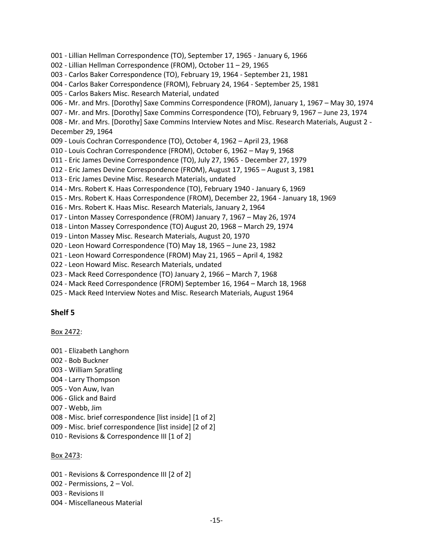001 - Lillian Hellman Correspondence (TO), September 17, 1965 - January 6, 1966

002 - Lillian Hellman Correspondence (FROM), October 11 – 29, 1965

003 - Carlos Baker Correspondence (TO), February 19, 1964 - September 21, 1981

- 004 Carlos Baker Correspondence (FROM), February 24, 1964 September 25, 1981
- 005 Carlos Bakers Misc. Research Material, undated
- 006 Mr. and Mrs. [Dorothy] Saxe Commins Correspondence (FROM), January 1, 1967 May 30, 1974
- 007 Mr. and Mrs. [Dorothy] Saxe Commins Correspondence (TO), February 9, 1967 June 23, 1974

008 - Mr. and Mrs. [Dorothy] Saxe Commins Interview Notes and Misc. Research Materials, August 2 - December 29, 1964

009 - Louis Cochran Correspondence (TO), October 4, 1962 – April 23, 1968

- 010 Louis Cochran Correspondence (FROM), October 6, 1962 May 9, 1968
- 011 Eric James Devine Correspondence (TO), July 27, 1965 December 27, 1979
- 012 Eric James Devine Correspondence (FROM), August 17, 1965 August 3, 1981
- 013 Eric James Devine Misc. Research Materials, undated
- 014 Mrs. Robert K. Haas Correspondence (TO), February 1940 January 6, 1969
- 015 Mrs. Robert K. Haas Correspondence (FROM), December 22, 1964 January 18, 1969
- 016 Mrs. Robert K. Haas Misc. Research Materials, January 2, 1964
- 017 Linton Massey Correspondence (FROM) January 7, 1967 May 26, 1974
- 018 Linton Massey Correspondence (TO) August 20, 1968 March 29, 1974
- 019 Linton Massey Misc. Research Materials, August 20, 1970
- 020 Leon Howard Correspondence (TO) May 18, 1965 June 23, 1982
- 021 Leon Howard Correspondence (FROM) May 21, 1965 April 4, 1982
- 022 Leon Howard Misc. Research Materials, undated
- 023 Mack Reed Correspondence (TO) January 2, 1966 March 7, 1968
- 024 Mack Reed Correspondence (FROM) September 16, 1964 March 18, 1968
- 025 Mack Reed Interview Notes and Misc. Research Materials, August 1964

# **Shelf 5**

## Box 2472:

- 001 Elizabeth Langhorn
- 002 Bob Buckner
- 003 William Spratling
- 004 Larry Thompson
- 005 Von Auw, Ivan
- 006 Glick and Baird
- 007 Webb, Jim
- 008 Misc. brief correspondence [list inside] [1 of 2]
- 009 Misc. brief correspondence [list inside] [2 of 2]
- 010 Revisions & Correspondence III [1 of 2]

# Box 2473:

- 001 Revisions & Correspondence III [2 of 2]
- 002 Permissions, 2 Vol.
- 003 Revisions II
- 004 Miscellaneous Material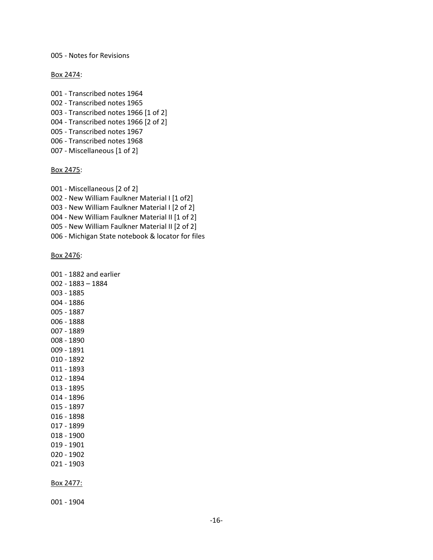005 - Notes for Revisions

Box 2474:

001 - Transcribed notes 1964 002 - Transcribed notes 1965 003 - Transcribed notes 1966 [1 of 2] 004 - Transcribed notes 1966 [2 of 2] 005 - Transcribed notes 1967 006 - Transcribed notes 1968 007 - Miscellaneous [1 of 2]

#### Box 2475:

001 - Miscellaneous [2 of 2]

002 - New William Faulkner Material I [1 of2]

003 - New William Faulkner Material I [2 of 2]

004 - New William Faulkner Material II [1 of 2]

005 - New William Faulkner Material II [2 of 2]

006 - Michigan State notebook & locator for files

Box 2476:

001 - 1904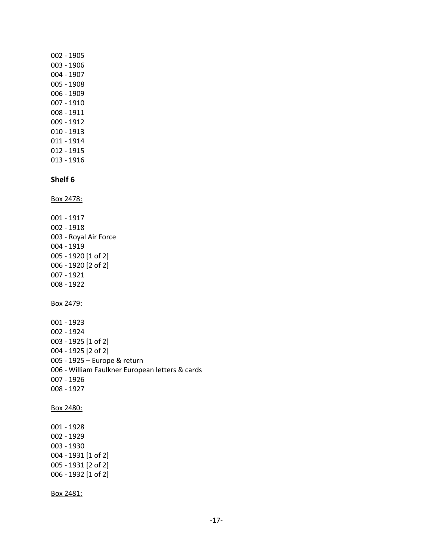002 - 1905 003 - 1906 004 - 1907 005 - 1908 006 - 1909 007 - 1910 008 - 1911 009 - 1912 010 - 1913 011 - 1914 012 - 1915 013 - 1916 **Shelf 6** Box 2478: 001 - 1917 002 - 1918 003 - Royal Air Force 004 - 1919 005 - 1920 [1 of 2] 006 - 1920 [2 of 2] 007 - 1921 008 - 1922 Box 2479: 001 - 1923 002 - 1924 003 - 1925 [1 of 2] 004 - 1925 [2 of 2] 005 - 1925 – Europe & return 006 - William Faulkner European letters & cards 007 - 1926 008 - 1927 Box 2480: 001 - 1928 002 - 1929 003 - 1930 004 - 1931 [1 of 2] 005 - 1931 [2 of 2] 006 - 1932 [1 of 2] Box 2481: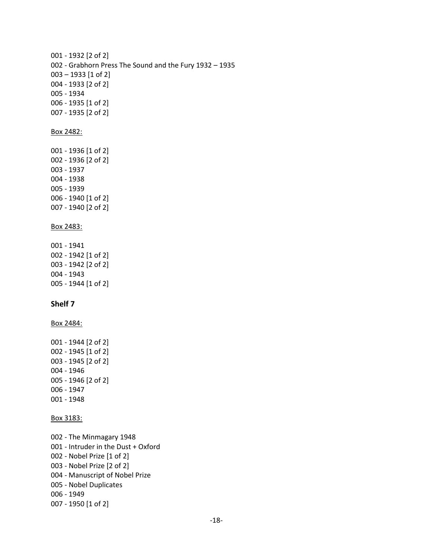```
001 - 1932 [2 of 2]
002 - Grabhorn Press The Sound and the Fury 1932 – 1935
003 – 1933 [1 of 2] 
004 - 1933 [2 of 2]
005 - 1934
006 - 1935 [1 of 2]
007 - 1935 [2 of 2]
Box 2482:
001 - 1936 [1 of 2]
002 - 1936 [2 of 2]
003 - 1937
004 - 1938
005 - 1939
006 - 1940 [1 of 2]
007 - 1940 [2 of 2]
Box 2483:
001 - 1941
002 - 1942 [1 of 2]
003 - 1942 [2 of 2]
004 - 1943
005 - 1944 [1 of 2]
Shelf 7
Box 2484:
001 - 1944 [2 of 2] 
002 - 1945 [1 of 2]
003 - 1945 [2 of 2]
004 - 1946
005 - 1946 [2 of 2]
006 - 1947
001 - 1948
Box 3183:
002 - The Minmagary 1948 
001 - Intruder in the Dust + Oxford
002 - Nobel Prize [1 of 2]
003 - Nobel Prize [2 of 2]
004 - Manuscript of Nobel Prize
005 - Nobel Duplicates
006 - 1949
007 - 1950 [1 of 2]
```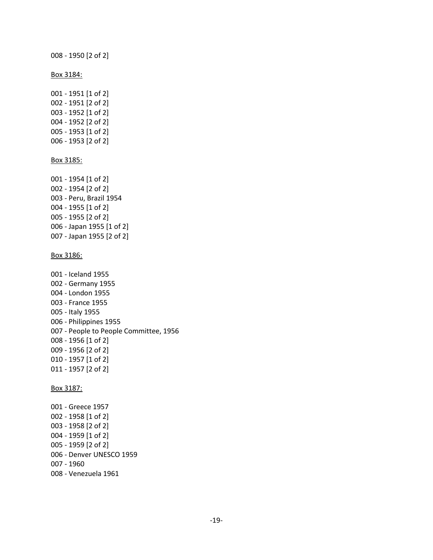008 - 1950 [2 of 2]

Box 3184:

- 001 1951 [1 of 2] 002 - 1951 [2 of 2] 003 - 1952 [1 of 2] 004 - 1952 [2 of 2] 005 - 1953 [1 of 2] 006 - 1953 [2 of 2] Box 3185: 001 - 1954 [1 of 2] 002 - 1954 [2 of 2] 003 - Peru, Brazil 1954 004 - 1955 [1 of 2] 005 - 1955 [2 of 2] 006 - Japan 1955 [1 of 2] 007 - Japan 1955 [2 of 2] Box 3186: 001 - Iceland 1955
- 002 Germany 1955 004 - London 1955 003 - France 1955 005 - Italy 1955 006 - Philippines 1955 007 - People to People Committee, 1956 008 - 1956 [1 of 2] 009 - 1956 [2 of 2] 010 - 1957 [1 of 2] 011 - 1957 [2 of 2]

Box 3187:

001 - Greece 1957 002 - 1958 [1 of 2] 003 - 1958 [2 of 2] 004 - 1959 [1 of 2] 005 - 1959 [2 of 2] 006 - Denver UNESCO 1959 007 - 1960 008 - Venezuela 1961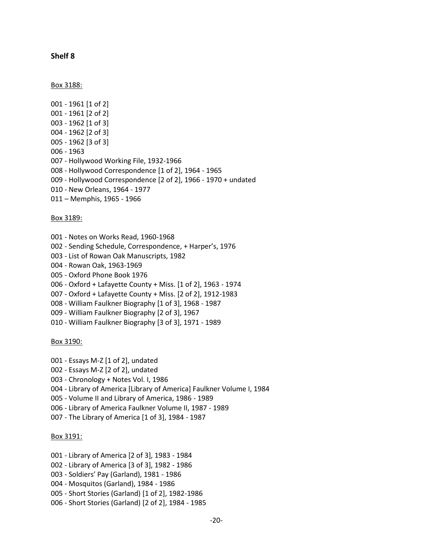### **Shelf 8**

Box 3188:

001 - 1961 [1 of 2] 001 - 1961 [2 of 2] 003 - 1962 [1 of 3] 004 - 1962 [2 of 3] 005 - 1962 [3 of 3] 006 - 1963 007 - Hollywood Working File, 1932-1966 008 - Hollywood Correspondence [1 of 2], 1964 - 1965 009 - Hollywood Correspondence [2 of 2], 1966 - 1970 + undated 010 - New Orleans, 1964 - 1977 011 – Memphis, 1965 - 1966

Box 3189:

- 001 Notes on Works Read, 1960-1968 002 - Sending Schedule, Correspondence, + Harper's, 1976 003 - List of Rowan Oak Manuscripts, 1982 004 - Rowan Oak, 1963-1969 005 - Oxford Phone Book 1976 006 - Oxford + Lafayette County + Miss. [1 of 2], 1963 - 1974 007 - Oxford + Lafayette County + Miss. [2 of 2], 1912-1983 008 - William Faulkner Biography [1 of 3], 1968 - 1987 009 - William Faulkner Biography [2 of 3], 1967
- 010 William Faulkner Biography [3 of 3], 1971 1989

Box 3190:

- 001 Essays M-Z [1 of 2], undated
- 002 Essays M-Z [2 of 2], undated
- 003 Chronology + Notes Vol. I, 1986
- 004 Library of America [Library of America] Faulkner Volume I, 1984
- 005 Volume II and Library of America, 1986 1989
- 006 Library of America Faulkner Volume II, 1987 1989
- 007 The Library of America [1 of 3], 1984 1987

#### Box 3191:

- 001 Library of America [2 of 3], 1983 1984
- 002 Library of America [3 of 3], 1982 1986
- 003 Soldiers' Pay (Garland), 1981 1986
- 004 Mosquitos (Garland), 1984 1986
- 005 Short Stories (Garland) [1 of 2], 1982-1986
- 006 Short Stories (Garland) [2 of 2], 1984 1985